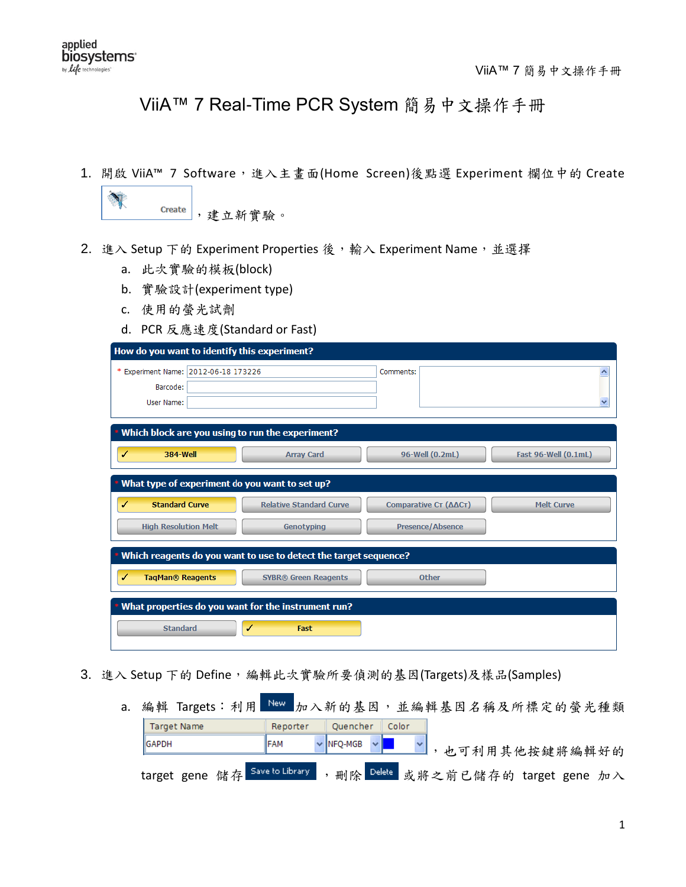## ViiA™ 7 Real-Time PCR System 簡易中文操作手冊

1. 開啟 ViiA™ 7 Software,進入主畫面(Home Screen)後點選 Experiment 欄位中的 Create

|  | <b>+IT 曾 E'</b><br>廿半<br>…… 馬台<br>$\circ$ |
|--|-------------------------------------------|
|  |                                           |

- 2. 進入 Setup 下的 Experiment Properties 後,輸入 Experiment Name,並選擇
	- a. 此次實驗的模板(block)
	- b. 實驗設計(experiment type)
	- c. 使用的螢光試劑
	- d. PCR 反應速度(Standard or Fast)

| How do you want to identify this experiment?                                                                                                                 |                                                |  |  |  |  |  |  |
|--------------------------------------------------------------------------------------------------------------------------------------------------------------|------------------------------------------------|--|--|--|--|--|--|
| * Experiment Name: 2012-06-18 173226<br>Barcode:<br>User Name:                                                                                               | Comments:<br>ㅅ<br>v                            |  |  |  |  |  |  |
| • Which block are you using to run the experiment?<br><b>384-Well</b><br>✓<br><b>Array Card</b>                                                              | 96-Well (0.2mL)<br><b>Fast 96-Well (0.1mL)</b> |  |  |  |  |  |  |
| What type of experiment do you want to set up?<br><b>Standard Curve</b><br><b>Relative Standard Curve</b><br>Comparative Cτ (ΔΔCτ)<br><b>Melt Curve</b><br>✔ |                                                |  |  |  |  |  |  |
| <b>High Resolution Melt</b><br>Genotyping                                                                                                                    | <b>Presence/Absence</b>                        |  |  |  |  |  |  |
| Which reagents do you want to use to detect the target sequence?<br><b>TagMan® Reagents</b><br><b>SYBR®</b> Green Reagents<br>✓                              | Other                                          |  |  |  |  |  |  |
| What properties do you want for the instrument run?                                                                                                          |                                                |  |  |  |  |  |  |
| <b>Standard</b><br>Fast                                                                                                                                      |                                                |  |  |  |  |  |  |

- 3. 進入 Setup 下的 Define,編輯此次實驗所要偵測的基因(Targets)及樣品(Samples)
	- a. 編輯 Targets: 利用 New 加入新的基因,並編輯基因名稱及所標定的螢光種類 Quencher Color Target Name Reporter GAPDH FAM NFQ-MGB ,也可利用其他按鍵將編輯好的 target gene 储存 Saveto Library , 删除 Delete 或將之前已儲存的 target gene 加入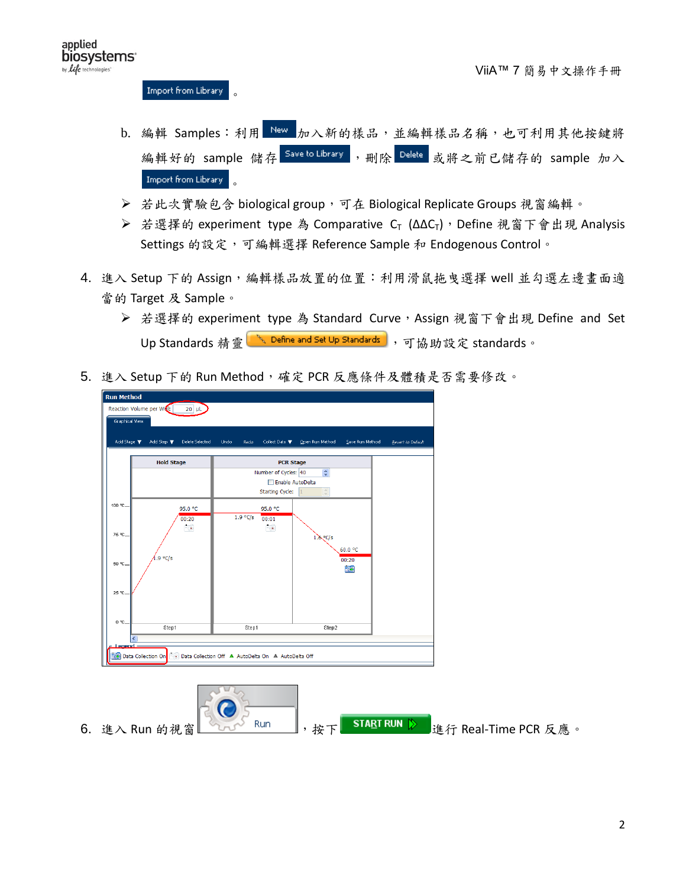Import from Library 。

- b. 編輯 Samples: 利用 New 加入新的樣品,並編輯樣品名稱,也可利用其他按鍵將 編輯好的 sample 儲存 Save to Library, 删除 Delete 或將之前已儲存的 sample 加入 Import from Library 。
- **▶ 若此次實驗包含 biological group,可在 Biological Replicate Groups** 視窗編輯。
- > 若選擇的 experiment type 為 Comparative C<sub>T</sub> (ΔΔC<sub>T</sub>), Define 視窗下會出現 Analysis Settings 的設定,可編輯選擇 Reference Sample 和 Endogenous Control。
- 4. 進入 Setup 下的 Assign, 編輯樣品放置的位置:利用滑鼠拖曳選擇 well 並勾選左邊書面適 當的 Target 及 Sample。
	- ▶ 若選擇的 experiment type 為 Standard Curve, Assign 視窗下會出現 Define and Set Up Standards 精靈 <u>、Pefine and Set Up Standards</u> ,可協助設定 standards。
- 5. 進入 Setup 下的 Run Method,確定 PCR 反應條件及體積是否需要修改。



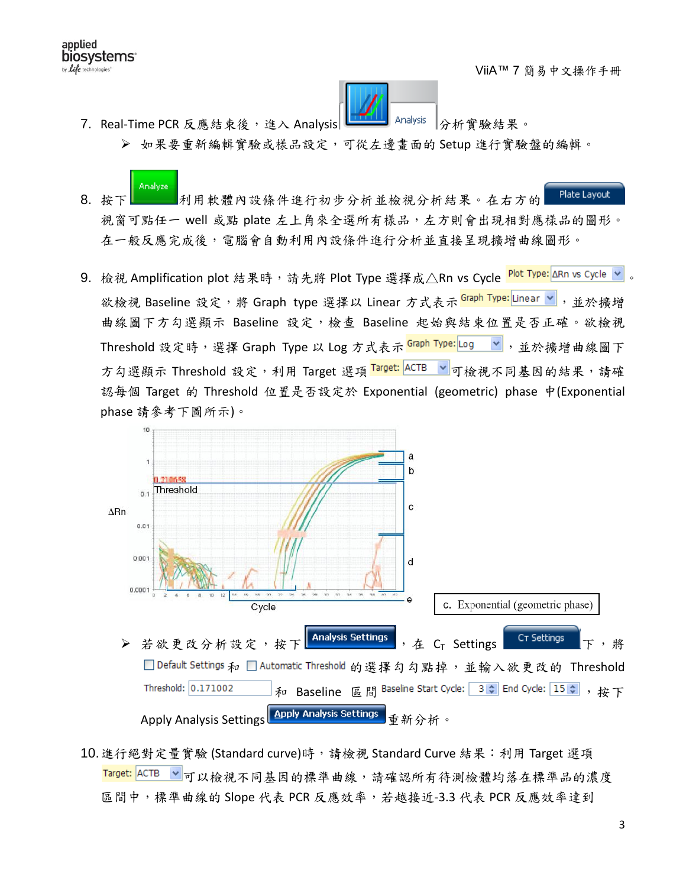applied biosystems<sup>®</sup> by life technologies



7. Real-Time PCR 反應結束後,進入 Analysis Little Analysis Analysis 分析實驗結果。

- 如果要重新編輯實驗或樣品設定,可從左邊畫面的 Setup 進行實驗盤的編輯。
- Plate Layout 8. 按下 利用軟體內設條件進行初步分析並檢視分析結果。在右方的 視窗可點任一 well 或點 plate 左上角來全選所有樣品,左方則會出現相對應樣品的圖形。 在一般反應完成後,電腦會自動利用內設條件進行分析並直接呈現擴增曲線圖形。
- 9. 檢視 Amplification plot 結果時,請先將 Plot Type 選擇成△Rn vs Cycle <mark>Plot Type:</mark>∆Rn vs Cycle <mark>></mark> 欲檢視 Baseline 設定,將 Graph type 選擇以 Linear 方式表示 <mark>Graph Type:</mark>Linear v , 並於擴增 曲線圖下方勾選顯示 Baseline 設定,檢查 Baseline 起始與結束位置是否正確。欲檢視 Threshold 設定時,選擇 Graph Type 以 Log 方式表示 <mark>Graph Type:</mark>Log v, 並於擴增曲線圖下 方勾選顯示 Threshold 設定,利用 Target 選項 Target: ACTB V 可檢視不同基因的結果,請確 認每個 Target 的 Threshold 位置是否設定於 Exponential (geometric) phase 中(Exponential phase 請參考下圖所示)。



10. 進行絕對定量實驗 (Standard curve)時,請檢視 Standard Curve 結果:利用 Target 選項 Target: ACTB > 可以檢視不同基因的標準曲線,請確認所有待測檢體均落在標準品的濃度 區間中,標準曲線的 Slope 代表 PCR 反應效率,若越接近-3.3 代表 PCR 反應效率達到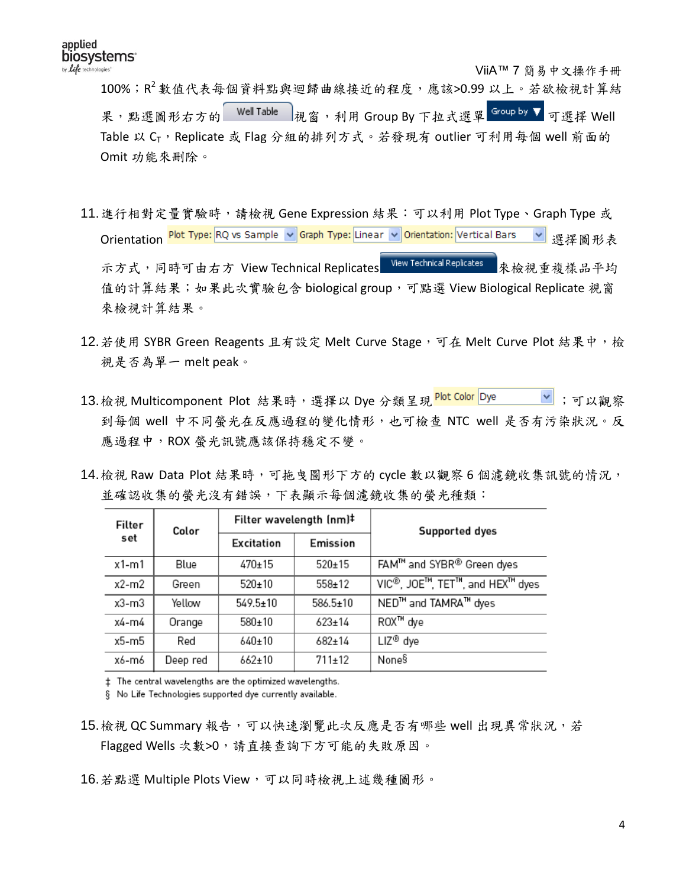ViiA™ 7 簡易中文操作手冊

100%; R<sup>2</sup>數值代表每個資料點與迴歸曲線接近的程度,應該>0.99 以上。若欲檢視計算結 果,點選圖形右方的 Well Table 视窗,利用 Group By 下拉式選單 Group by ▼ 可選擇 Well Table 以  $C_T$ , Replicate 或 Flag 分組的排列方式。若發現有 outlier 可利用每個 well 前面的 Omit 功能來刪除。

- 11.進行相對定量實驗時,請檢視 Gene Expression 結果:可以利用 Plot Type、Graph Type 或 Orientation Plot Type: RQ vs Sample ♥ Graph Type: Linear ♥ Orientation: Vertical Bars ♥ 選擇圖形表 示方式,同時可由右方 View Technical Replicates View Technical Replicates 永檢視重複樣品平均 值的計算結果;如果此次實驗包含 biological group,可點選 View Biological Replicate 視窗 來檢視計算結果。
- 12.若使用 SYBR Green Reagents 且有設定 Melt Curve Stage,可在 Melt Curve Plot 結果中,檢 視是否為單一 melt peak。
- 13.檢視 Multicomponent Plot 結果時,選擇以 Dye 分類呈現 <mark>Plot Color </mark>Dye \_\_\_\_\_\_<mark>></mark> ;可以觀察 到每個 well 中不同螢光在反應過程的變化情形,也可檢查 NTC well 是否有污染狀況。反 應過程中,ROX 螢光訊號應該保持穩定不變。
- 14.檢視 Raw Data Plot 結果時,可拖曳圖形下方的 cycle 數以觀察 6 個濾鏡收集訊號的情況, 並確認收集的螢光沒有錯誤,下表顯示每個濾鏡收集的螢光種類:

| Color    | Filter wavelength (nm)# |              | Supported dyes                               |
|----------|-------------------------|--------------|----------------------------------------------|
|          | Excitation              | Emission     |                                              |
| Blue     | 470±15                  | $520 \pm 15$ | FAM™ and SYBR® Green dyes                    |
| Green    | $520+10$                | $558+12$     | VIC <sup>®</sup> , JOE™, TET™, and HEX™ dyes |
| Yellow   | $549.5 \pm 10$          | 586.5±10     | NED <sup>™</sup> and TAMRA <sup>™</sup> dyes |
| Orange   | 580±10                  | $623+14$     | ROX™ dye                                     |
| Red      | 640±10                  | $682 \pm 14$ | LIZ <sup>®</sup> dye                         |
| Deep red | $662 \pm 10$            | 711±12       | None§                                        |
|          |                         |              |                                              |

# The central wavelengths are the optimized wavelengths.

§ No Life Technologies supported dye currently available.

- 15.檢視 QC Summary 報告,可以快速瀏覽此次反應是否有哪些 well 出現異常狀況,若 Flagged Wells 次數>0,請直接查詢下方可能的失敗原因。
- 16.若點選 Multiple Plots View,可以同時檢視上述幾種圖形。